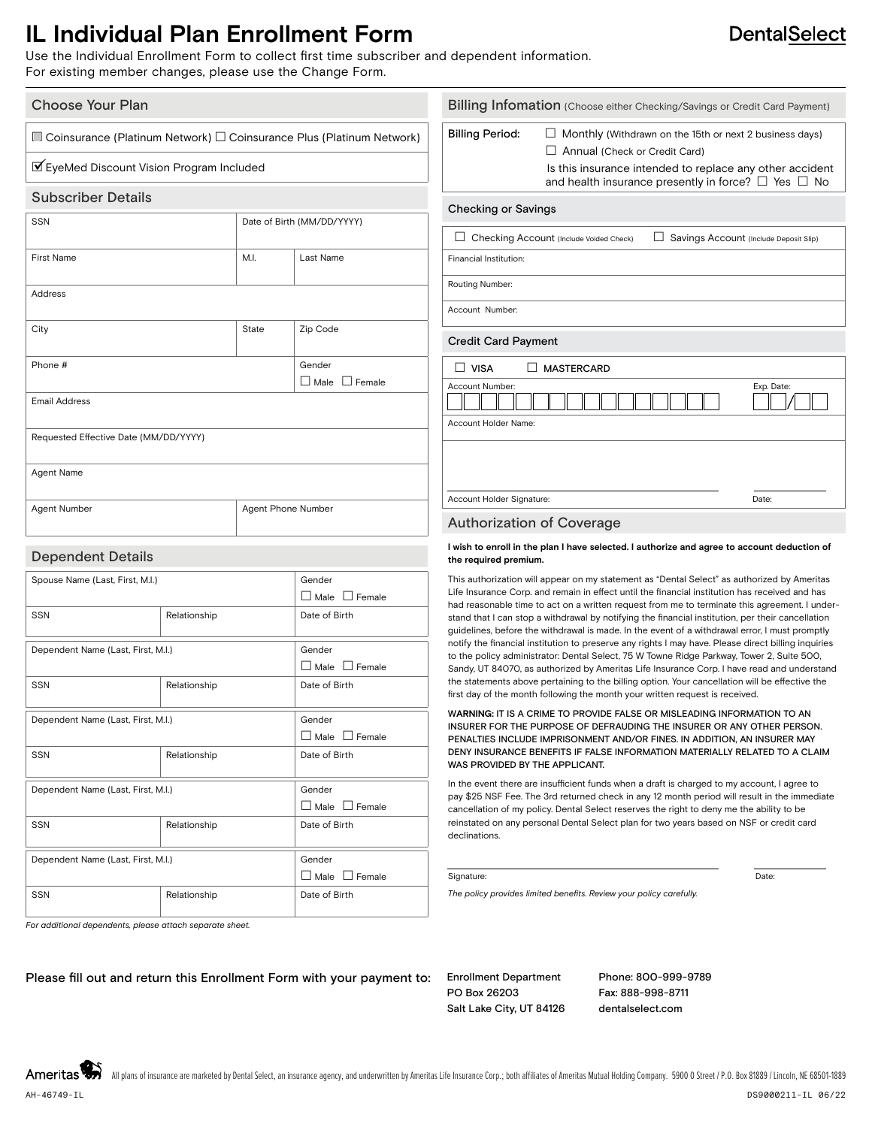### **IL Individual Plan Enrollment Form**

Use the Individual Enrollment Form to collect first time subscriber and dependent information. For existing member changes, please use the Change Form.

| <b>Choose Your Plan</b>                                                          |       |                            | <b>Billing Infomation</b> (Choose either Checking/Savings or Credit Card Payment)                                                                                                                                                                                                                               |                                                                                                                                                                   |  |
|----------------------------------------------------------------------------------|-------|----------------------------|-----------------------------------------------------------------------------------------------------------------------------------------------------------------------------------------------------------------------------------------------------------------------------------------------------------------|-------------------------------------------------------------------------------------------------------------------------------------------------------------------|--|
| $\Box$ Coinsurance (Platinum Network) $\Box$ Coinsurance Plus (Platinum Network) |       |                            | <b>Billing Period:</b>                                                                                                                                                                                                                                                                                          | $\Box$ Monthly (Withdrawn on the 15th or next 2 business days)                                                                                                    |  |
| ■ EyeMed Discount Vision Program Included                                        |       |                            |                                                                                                                                                                                                                                                                                                                 | $\Box$ Annual (Check or Credit Card)<br>Is this insurance intended to replace any other accident<br>and health insurance presently in force? $\Box$ Yes $\Box$ No |  |
| <b>Subscriber Details</b>                                                        |       |                            | <b>Checking or Savings</b>                                                                                                                                                                                                                                                                                      |                                                                                                                                                                   |  |
| <b>SSN</b>                                                                       |       | Date of Birth (MM/DD/YYYY) |                                                                                                                                                                                                                                                                                                                 |                                                                                                                                                                   |  |
|                                                                                  |       |                            | Checking Account (Include Voided Check)<br>Savings Account (Include Deposit Slip)                                                                                                                                                                                                                               |                                                                                                                                                                   |  |
| <b>First Name</b>                                                                | M.I.  | Last Name                  | Financial Institution:                                                                                                                                                                                                                                                                                          |                                                                                                                                                                   |  |
| Address                                                                          |       |                            | Routing Number:                                                                                                                                                                                                                                                                                                 |                                                                                                                                                                   |  |
|                                                                                  |       |                            | Account Number:                                                                                                                                                                                                                                                                                                 |                                                                                                                                                                   |  |
| City                                                                             | State | Zip Code                   | <b>Credit Card Payment</b>                                                                                                                                                                                                                                                                                      |                                                                                                                                                                   |  |
| Phone #                                                                          |       | Gender                     | $\Box$ VISA                                                                                                                                                                                                                                                                                                     | MASTERCARD                                                                                                                                                        |  |
|                                                                                  |       | $\Box$ Male $\Box$ Female  | Account Number:                                                                                                                                                                                                                                                                                                 | Exp. Date:                                                                                                                                                        |  |
| <b>Email Address</b>                                                             |       |                            |                                                                                                                                                                                                                                                                                                                 |                                                                                                                                                                   |  |
| Requested Effective Date (MM/DD/YYYY)                                            |       |                            | Account Holder Name:                                                                                                                                                                                                                                                                                            |                                                                                                                                                                   |  |
| Agent Name                                                                       |       |                            |                                                                                                                                                                                                                                                                                                                 |                                                                                                                                                                   |  |
| Agent Phone Number                                                               |       |                            | Account Holder Signature:                                                                                                                                                                                                                                                                                       | Date:                                                                                                                                                             |  |
| Agent Number                                                                     |       |                            |                                                                                                                                                                                                                                                                                                                 | <b>Authorization of Coverage</b>                                                                                                                                  |  |
| <b>Dependent Details</b>                                                         |       |                            | the required premium.                                                                                                                                                                                                                                                                                           | I wish to enroll in the plan I have selected. I authorize and agree to account deduction of                                                                       |  |
| Spouse Name (Last, First, M.I.)                                                  |       | Gender                     | This authorization will appear on my statement as "Dental Select" as authorized by Ameritas<br>Life Insurance Corp. and remain in effect until the financial institution has received and has<br>tract accompatible attack and shake the commission of contract from the accompanies at the component of the de |                                                                                                                                                                   |  |
|                                                                                  |       | $\Box$ Male $\Box$ Female  |                                                                                                                                                                                                                                                                                                                 |                                                                                                                                                                   |  |

 $\square$  Male  $\square$  Female

 $\Box$  Male  $\Box$  Female

 $\Box$  Male  $\Box$  Female

 $\square$  Male  $\square$  Female

Life Insurance Corp. and remain in effect until the financial institution has received and has had reasonable time to act on a written request from me to terminate this agreement. I understand that I can stop a withdrawal by notifying the financial institution, per their cancellation guidelines, before the withdrawal is made. In the event of a withdrawal error, I must promptly notify the financial institution to preserve any rights I may have. Please direct billing inquiries to the policy administrator: Dental Select, 75 W Towne Ridge Parkway, Tower 2, Suite 500, Sandy, UT 84070, as authorized by Ameritas Life Insurance Corp. I have read and understand the statements above pertaining to the billing option. Your cancellation will be effective the first day of the month following the month your written request is received.

#### W**ARNING:** IT IS A CRIME TO PROVIDE FALSE OR MISLEADING INFORMATION TO AN INSURER FOR THE PURPOSE OF DEFRAUDING THE INSURER OR ANY OTHER PERSON. PENALTIES INCLUDE IMPRISONMENT AND/OR FINES. IN ADDITION, AN INSURER MAY DENY INSURANCE BENEFITS IF FALSE INFORMATION MATERIALLY RELATED TO A CLAIM WAS PROVIDED BY THE APPLICANT.

In the event there are insufficient funds when a draft is charged to my account, I agree to pay \$25 NSF Fee. The 3rd returned check in any 12 month period will result in the immediate cancellation of my policy. Dental Select reserves the right to deny me the ability to be reinstated on any personal Dental Select plan for two years based on NSF or credit card declinations.

#### Signature: Date: Date: Date: Date: Date: Date: Date: Date: Date: Date: Date: Date: Date: Date: Date: Date: Date: Date: Date: Date: Date: Date: Date: Date: Date: Date: Date: Date: Date: Date: Date: Date: Date: Date: Date: D

*The policy provides limited benefits. Review your policy carefully.*

*For additional dependents, please attach separate sheet.*

Please fill out and return this Enrollment Form with your payment to: Enrollment Department

SSN Relationship Date of Birth

SSN Relationship Relationship Date of Birth

SSN Relationship Date of Birth

SSN Relationship Date of Birth

SSN Relationship Date of Birth

Dependent Name (Last, First, M.I.) Gender

Dependent Name (Last, First, M.I.) Gender

Dependent Name (Last, First, M.I.) Cender

Dependent Name (Last, First, M.I.) Gender

PO Box 26203 Salt Lake City, UT 84126 Phone: 800-999-9789 Fax: 888-998-8711 dentalselect.com

**DentalSelect** 

Ameritas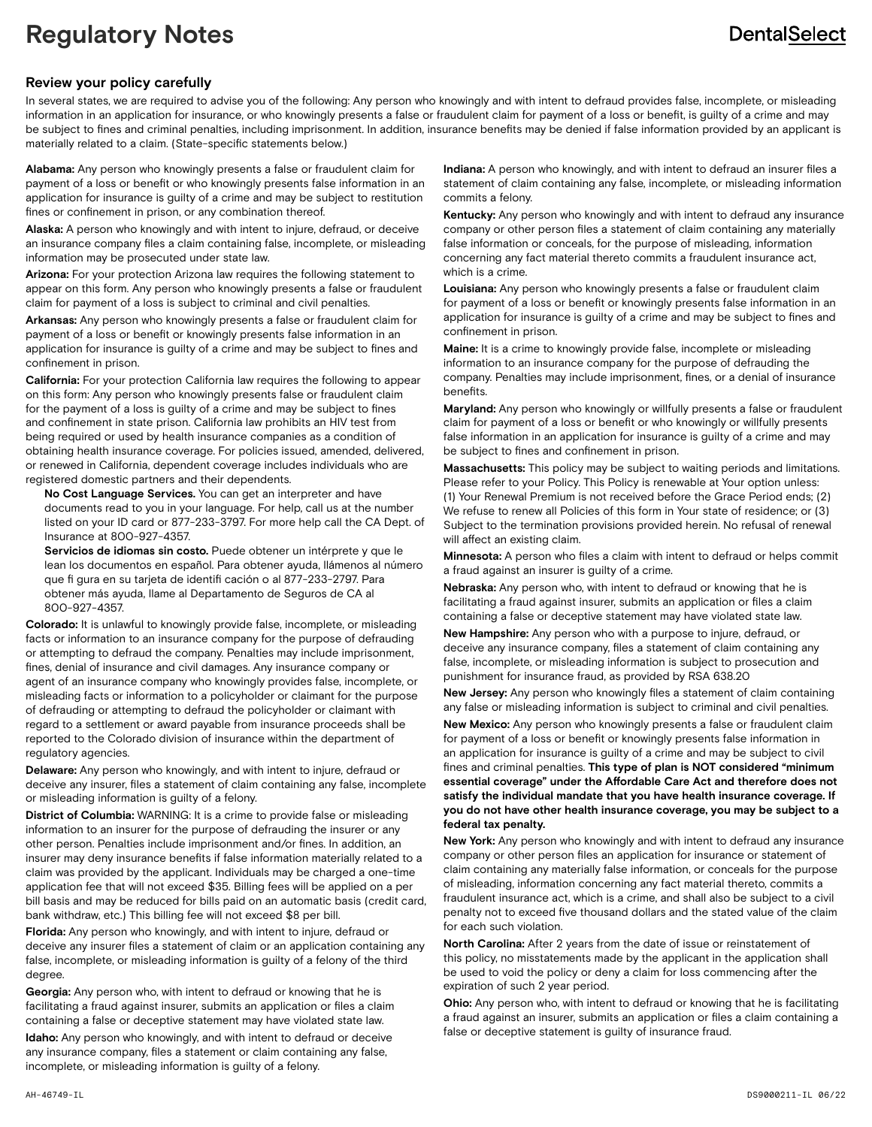# **Regulatory Notes**

## **DentalSelect**

#### **Review your policy carefully**

In several states, we are required to advise you of the following: Any person who knowingly and with intent to defraud provides false, incomplete, or misleading information in an application for insurance, or who knowingly presents a false or fraudulent claim for payment of a loss or benefit, is guilty of a crime and may be subject to fines and criminal penalties, including imprisonment. In addition, insurance benefits may be denied if false information provided by an applicant is materially related to a claim. (State-specific statements below.)

**Alabama:** Any person who knowingly presents a false or fraudulent claim for payment of a loss or benefit or who knowingly presents false information in an application for insurance is guilty of a crime and may be subject to restitution fines or confinement in prison, or any combination thereof.

**Alaska:** A person who knowingly and with intent to injure, defraud, or deceive an insurance company files a claim containing false, incomplete, or misleading information may be prosecuted under state law.

**Arizona:** For your protection Arizona law requires the following statement to appear on this form. Any person who knowingly presents a false or fraudulent claim for payment of a loss is subject to criminal and civil penalties.

**Arkansas:** Any person who knowingly presents a false or fraudulent claim for payment of a loss or benefit or knowingly presents false information in an application for insurance is guilty of a crime and may be subject to fines and confinement in prison.

**California:** For your protection California law requires the following to appear on this form: Any person who knowingly presents false or fraudulent claim for the payment of a loss is guilty of a crime and may be subject to fines and confinement in state prison. California law prohibits an HIV test from being required or used by health insurance companies as a condition of obtaining health insurance coverage. For policies issued, amended, delivered, or renewed in California, dependent coverage includes individuals who are registered domestic partners and their dependents.

 **No Cost Language Services.** You can get an interpreter and have documents read to you in your language. For help, call us at the number listed on your ID card or 877-233-3797. For more help call the CA Dept. of Insurance at 800-927-4357.

 **Servicios de idiomas sin costo.** Puede obtener un intérprete y que le lean los documentos en español. Para obtener ayuda, llámenos al número que fi gura en su tarjeta de identifi cación o al 877-233-2797. Para obtener más ayuda, llame al Departamento de Seguros de CA al 800-927-4357.

**Colorado:** It is unlawful to knowingly provide false, incomplete, or misleading facts or information to an insurance company for the purpose of defrauding or attempting to defraud the company. Penalties may include imprisonment, fines, denial of insurance and civil damages. Any insurance company or agent of an insurance company who knowingly provides false, incomplete, or misleading facts or information to a policyholder or claimant for the purpose of defrauding or attempting to defraud the policyholder or claimant with regard to a settlement or award payable from insurance proceeds shall be reported to the Colorado division of insurance within the department of regulatory agencies.

**Delaware:** Any person who knowingly, and with intent to injure, defraud or deceive any insurer, files a statement of claim containing any false, incomplete or misleading information is guilty of a felony.

**District of Columbia:** WARNING: It is a crime to provide false or misleading information to an insurer for the purpose of defrauding the insurer or any other person. Penalties include imprisonment and/or fines. In addition, an insurer may deny insurance benefits if false information materially related to a claim was provided by the applicant. Individuals may be charged a one-time application fee that will not exceed \$35. Billing fees will be applied on a per bill basis and may be reduced for bills paid on an automatic basis (credit card, bank withdraw, etc.) This billing fee will not exceed \$8 per bill.

**Florida:** Any person who knowingly, and with intent to injure, defraud or deceive any insurer files a statement of claim or an application containing any false, incomplete, or misleading information is guilty of a felony of the third degree.

**Georgia:** Any person who, with intent to defraud or knowing that he is facilitating a fraud against insurer, submits an application or files a claim containing a false or deceptive statement may have violated state law.

**Idaho:** Any person who knowingly, and with intent to defraud or deceive any insurance company, files a statement or claim containing any false, incomplete, or misleading information is guilty of a felony.

**Indiana:** A person who knowingly, and with intent to defraud an insurer files a statement of claim containing any false, incomplete, or misleading information commits a felony.

**Kentucky:** Any person who knowingly and with intent to defraud any insurance company or other person files a statement of claim containing any materially false information or conceals, for the purpose of misleading, information concerning any fact material thereto commits a fraudulent insurance act, which is a crime.

**Louisiana:** Any person who knowingly presents a false or fraudulent claim for payment of a loss or benefit or knowingly presents false information in an application for insurance is guilty of a crime and may be subject to fines and confinement in prison.

**Maine:** It is a crime to knowingly provide false, incomplete or misleading information to an insurance company for the purpose of defrauding the company. Penalties may include imprisonment, fines, or a denial of insurance benefits.

**Maryland:** Any person who knowingly or willfully presents a false or fraudulent claim for payment of a loss or benefit or who knowingly or willfully presents false information in an application for insurance is guilty of a crime and may be subject to fines and confinement in prison.

**Massachusetts:** This policy may be subject to waiting periods and limitations. Please refer to your Policy. This Policy is renewable at Your option unless: (1) Your Renewal Premium is not received before the Grace Period ends; (2) We refuse to renew all Policies of this form in Your state of residence; or (3) Subject to the termination provisions provided herein. No refusal of renewal will affect an existing claim.

**Minnesota:** A person who files a claim with intent to defraud or helps commit a fraud against an insurer is guilty of a crime.

**Nebraska:** Any person who, with intent to defraud or knowing that he is facilitating a fraud against insurer, submits an application or files a claim containing a false or deceptive statement may have violated state law.

**New Hampshire:** Any person who with a purpose to injure, defraud, or deceive any insurance company, files a statement of claim containing any false, incomplete, or misleading information is subject to prosecution and punishment for insurance fraud, as provided by RSA 638.20

**New Jersey:** Any person who knowingly files a statement of claim containing any false or misleading information is subject to criminal and civil penalties.

**New Mexico:** Any person who knowingly presents a false or fraudulent claim for payment of a loss or benefit or knowingly presents false information in an application for insurance is guilty of a crime and may be subject to civil fines and criminal penalties. **This type of plan is NOT considered "minimum essential coverage" under the Affordable Care Act and therefore does not satisfy the individual mandate that you have health insurance coverage. If you do not have other health insurance coverage, you may be subject to a federal tax penalty.**

**New York:** Any person who knowingly and with intent to defraud any insurance company or other person files an application for insurance or statement of claim containing any materially false information, or conceals for the purpose of misleading, information concerning any fact material thereto, commits a fraudulent insurance act, which is a crime, and shall also be subject to a civil penalty not to exceed five thousand dollars and the stated value of the claim for each such violation.

**North Carolina:** After 2 years from the date of issue or reinstatement of this policy, no misstatements made by the applicant in the application shall be used to void the policy or deny a claim for loss commencing after the expiration of such 2 year period.

**Ohio:** Any person who, with intent to defraud or knowing that he is facilitating a fraud against an insurer, submits an application or files a claim containing a false or deceptive statement is guilty of insurance fraud.